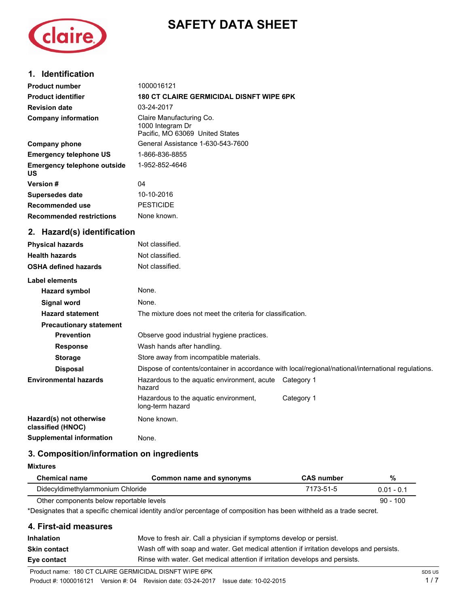# **SAFETY DATA SHEET**



## **1. Identification**

| <b>Product number</b>                        | 1000016121                                                                                          |  |  |
|----------------------------------------------|-----------------------------------------------------------------------------------------------------|--|--|
| <b>Product identifier</b>                    | <b>180 CT CLAIRE GERMICIDAL DISNFT WIPE 6PK</b>                                                     |  |  |
| <b>Revision date</b>                         | 03-24-2017                                                                                          |  |  |
| <b>Company information</b>                   | Claire Manufacturing Co.<br>1000 Integram Dr<br>Pacific, MO 63069 United States                     |  |  |
| <b>Company phone</b>                         | General Assistance 1-630-543-7600                                                                   |  |  |
| <b>Emergency telephone US</b>                | 1-866-836-8855                                                                                      |  |  |
| <b>Emergency telephone outside</b><br>US     | 1-952-852-4646                                                                                      |  |  |
| Version #                                    | 04                                                                                                  |  |  |
| Supersedes date                              | 10-10-2016                                                                                          |  |  |
| Recommended use                              | <b>PESTICIDE</b>                                                                                    |  |  |
| <b>Recommended restrictions</b>              | None known.                                                                                         |  |  |
| 2. Hazard(s) identification                  |                                                                                                     |  |  |
| <b>Physical hazards</b>                      | Not classified.                                                                                     |  |  |
| <b>Health hazards</b>                        | Not classified.                                                                                     |  |  |
| <b>OSHA defined hazards</b>                  | Not classified.                                                                                     |  |  |
| Label elements                               |                                                                                                     |  |  |
| <b>Hazard symbol</b>                         | None.                                                                                               |  |  |
| <b>Signal word</b>                           | None.                                                                                               |  |  |
| <b>Hazard statement</b>                      | The mixture does not meet the criteria for classification.                                          |  |  |
| <b>Precautionary statement</b>               |                                                                                                     |  |  |
| <b>Prevention</b>                            | Observe good industrial hygiene practices.                                                          |  |  |
| <b>Response</b>                              | Wash hands after handling.                                                                          |  |  |
| <b>Storage</b>                               | Store away from incompatible materials.                                                             |  |  |
| <b>Disposal</b>                              | Dispose of contents/container in accordance with local/regional/national/international regulations. |  |  |
| <b>Environmental hazards</b>                 | Hazardous to the aquatic environment, acute Category 1<br>hazard                                    |  |  |
|                                              | Category 1<br>Hazardous to the aquatic environment,<br>long-term hazard                             |  |  |
| Hazard(s) not otherwise<br>classified (HNOC) | None known.                                                                                         |  |  |
| <b>Supplemental information</b>              | None.                                                                                               |  |  |

## **3. Composition/information on ingredients**

## **Mixtures**

| <b>Chemical name</b>                     | Common name and synonyms | <b>CAS number</b> | %            |
|------------------------------------------|--------------------------|-------------------|--------------|
| Didecyldimethylammonium Chloride         |                          | 7173-51-5         | $0.01 - 0.1$ |
| Other components below reportable levels |                          |                   | $90 - 100$   |

\*Designates that a specific chemical identity and/or percentage of composition has been withheld as a trade secret.

## **4. First-aid measures**

| <b>Inhalation</b>   | Move to fresh air. Call a physician if symptoms develop or persist.                      |
|---------------------|------------------------------------------------------------------------------------------|
| <b>Skin contact</b> | Wash off with soap and water. Get medical attention if irritation develops and persists. |
| Eye contact         | Rinse with water. Get medical attention if irritation develops and persists.             |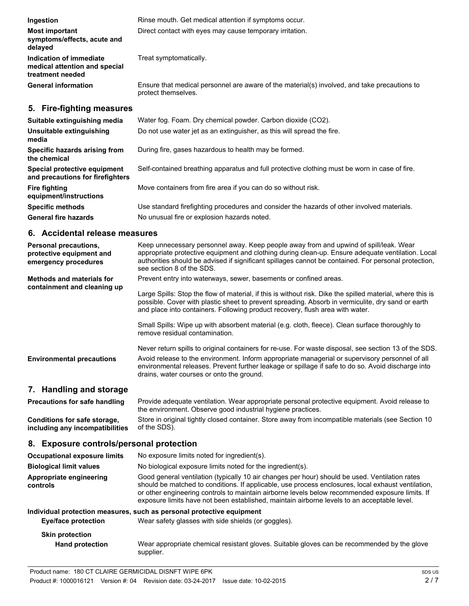| Ingestion                                                                    | Rinse mouth. Get medical attention if symptoms occur.                                                               |
|------------------------------------------------------------------------------|---------------------------------------------------------------------------------------------------------------------|
| <b>Most important</b><br>symptoms/effects, acute and<br>delayed              | Direct contact with eyes may cause temporary irritation.                                                            |
| Indication of immediate<br>medical attention and special<br>treatment needed | Treat symptomatically.                                                                                              |
| <b>General information</b>                                                   | Ensure that medical personnel are aware of the material(s) involved, and take precautions to<br>protect themselves. |
| 5. Fire-fighting measures                                                    |                                                                                                                     |
| Suitable extinguishing media                                                 | Water fog. Foam. Dry chemical powder. Carbon dioxide (CO2).                                                         |
| Unsuitable extinguishing<br>media                                            | Do not use water jet as an extinguisher, as this will spread the fire.                                              |
| Specific hazards arising from<br>the chemical                                | During fire, gases hazardous to health may be formed.                                                               |
| Special protective equipment<br>and precautions for firefighters             | Self-contained breathing apparatus and full protective clothing must be worn in case of fire.                       |

**equipment/instructions Specific methods** Use standard firefighting procedures and consider the hazards of other involved materials. General fire hazards **No unusual fire or explosion hazards noted.** 

**Fire fighting** Move containers from fire area if you can do so without risk.

## **6. Accidental release measures**

| <b>Personal precautions,</b><br>protective equipment and<br>emergency procedures | Keep unnecessary personnel away. Keep people away from and upwind of spill/leak. Wear<br>appropriate protective equipment and clothing during clean-up. Ensure adequate ventilation. Local<br>authorities should be advised if significant spillages cannot be contained. For personal protection,<br>see section 8 of the SDS.                                                                        |  |
|----------------------------------------------------------------------------------|--------------------------------------------------------------------------------------------------------------------------------------------------------------------------------------------------------------------------------------------------------------------------------------------------------------------------------------------------------------------------------------------------------|--|
| <b>Methods and materials for</b>                                                 | Prevent entry into waterways, sewer, basements or confined areas.                                                                                                                                                                                                                                                                                                                                      |  |
| containment and cleaning up                                                      | Large Spills: Stop the flow of material, if this is without risk. Dike the spilled material, where this is<br>possible. Cover with plastic sheet to prevent spreading. Absorb in vermiculite, dry sand or earth<br>and place into containers. Following product recovery, flush area with water.                                                                                                       |  |
|                                                                                  | Small Spills: Wipe up with absorbent material (e.g. cloth, fleece). Clean surface thoroughly to<br>remove residual contamination.                                                                                                                                                                                                                                                                      |  |
|                                                                                  | Never return spills to original containers for re-use. For waste disposal, see section 13 of the SDS.                                                                                                                                                                                                                                                                                                  |  |
| <b>Environmental precautions</b>                                                 | Avoid release to the environment. Inform appropriate managerial or supervisory personnel of all<br>environmental releases. Prevent further leakage or spillage if safe to do so. Avoid discharge into<br>drains, water courses or onto the ground.                                                                                                                                                     |  |
| 7. Handling and storage                                                          |                                                                                                                                                                                                                                                                                                                                                                                                        |  |
| <b>Precautions for safe handling</b>                                             | Provide adequate ventilation. Wear appropriate personal protective equipment. Avoid release to<br>the environment. Observe good industrial hygiene practices.                                                                                                                                                                                                                                          |  |
| Conditions for safe storage,<br>including any incompatibilities                  | Store in original tightly closed container. Store away from incompatible materials (see Section 10<br>of the SDS).                                                                                                                                                                                                                                                                                     |  |
| 8. Exposure controls/personal protection                                         |                                                                                                                                                                                                                                                                                                                                                                                                        |  |
| <b>Occupational exposure limits</b>                                              | No exposure limits noted for ingredient(s).                                                                                                                                                                                                                                                                                                                                                            |  |
| <b>Biological limit values</b>                                                   | No biological exposure limits noted for the ingredient(s).                                                                                                                                                                                                                                                                                                                                             |  |
| Appropriate engineering<br>controls                                              | Good general ventilation (typically 10 air changes per hour) should be used. Ventilation rates<br>should be matched to conditions. If applicable, use process enclosures, local exhaust ventilation,<br>or other engineering controls to maintain airborne levels below recommended exposure limits. If<br>exposure limits have not been established, maintain airborne levels to an acceptable level. |  |

#### **Individual protection measures, such as personal protective equipment**

| <b>Eye/face protection</b> | Wear safety glasses with side shields (or goggles).                                         |
|----------------------------|---------------------------------------------------------------------------------------------|
| <b>Skin protection</b>     | Wear appropriate chemical resistant gloves. Suitable gloves can be recommended by the glove |
| <b>Hand protection</b>     | supplier.                                                                                   |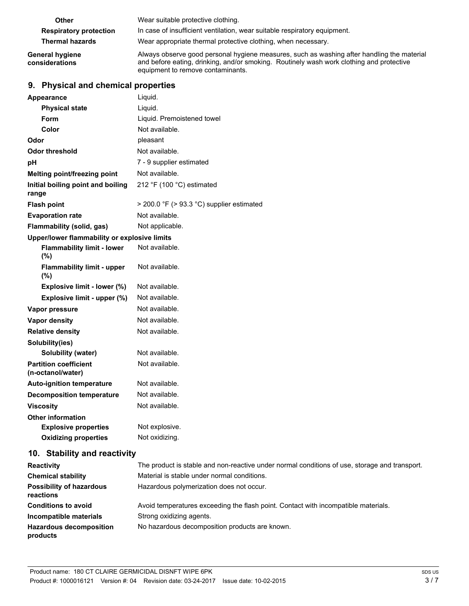| Other                             | Wear suitable protective clothing.                                                                                                                                                                                          |
|-----------------------------------|-----------------------------------------------------------------------------------------------------------------------------------------------------------------------------------------------------------------------------|
| <b>Respiratory protection</b>     | In case of insufficient ventilation, wear suitable respiratory equipment.                                                                                                                                                   |
| <b>Thermal hazards</b>            | Wear appropriate thermal protective clothing, when necessary.                                                                                                                                                               |
| General hygiene<br>considerations | Always observe good personal hygiene measures, such as washing after handling the material<br>and before eating, drinking, and/or smoking. Routinely wash work clothing and protective<br>equipment to remove contaminants. |

# **9. Physical and chemical properties**

| <b>Appearance</b>                                 | Liquid.                                   |  |  |
|---------------------------------------------------|-------------------------------------------|--|--|
| <b>Physical state</b>                             | Liquid.                                   |  |  |
| Form                                              | Liquid. Premoistened towel                |  |  |
| Color                                             | Not available.                            |  |  |
| Odor                                              | pleasant                                  |  |  |
| Odor threshold                                    | Not available.                            |  |  |
| pH                                                | 7 - 9 supplier estimated                  |  |  |
| Melting point/freezing point                      | Not available.                            |  |  |
| Initial boiling point and boiling<br>range        | 212 °F (100 °C) estimated                 |  |  |
| <b>Flash point</b>                                | > 200.0 °F (> 93.3 °C) supplier estimated |  |  |
| <b>Evaporation rate</b>                           | Not available.                            |  |  |
| Flammability (solid, gas)                         | Not applicable.                           |  |  |
| Upper/lower flammability or explosive limits      |                                           |  |  |
| <b>Flammability limit - lower</b><br>(%)          | Not available.                            |  |  |
| <b>Flammability limit - upper</b><br>$(\% )$      | Not available.                            |  |  |
| Explosive limit - lower (%)                       | Not available.                            |  |  |
| Explosive limit - upper (%)                       | Not available.                            |  |  |
| Vapor pressure                                    | Not available.                            |  |  |
| Vapor density                                     | Not available.                            |  |  |
| <b>Relative density</b>                           | Not available.                            |  |  |
| Solubility(ies)                                   |                                           |  |  |
| <b>Solubility (water)</b>                         | Not available.                            |  |  |
| <b>Partition coefficient</b><br>(n-octanol/water) | Not available.                            |  |  |
| <b>Auto-ignition temperature</b>                  | Not available.                            |  |  |
| <b>Decomposition temperature</b>                  | Not available.                            |  |  |
| <b>Viscosity</b>                                  | Not available.                            |  |  |
| <b>Other information</b>                          |                                           |  |  |
| <b>Explosive properties</b>                       | Not explosive.                            |  |  |
| <b>Oxidizing properties</b>                       | Not oxidizing.                            |  |  |
|                                                   |                                           |  |  |

## **10. Stability and reactivity**

| <b>Reactivity</b>                            | The product is stable and non-reactive under normal conditions of use, storage and transport. |
|----------------------------------------------|-----------------------------------------------------------------------------------------------|
| <b>Chemical stability</b>                    | Material is stable under normal conditions.                                                   |
| <b>Possibility of hazardous</b><br>reactions | Hazardous polymerization does not occur.                                                      |
| <b>Conditions to avoid</b>                   | Avoid temperatures exceeding the flash point. Contact with incompatible materials.            |
| Incompatible materials                       | Strong oxidizing agents.                                                                      |
| <b>Hazardous decomposition</b><br>products   | No hazardous decomposition products are known.                                                |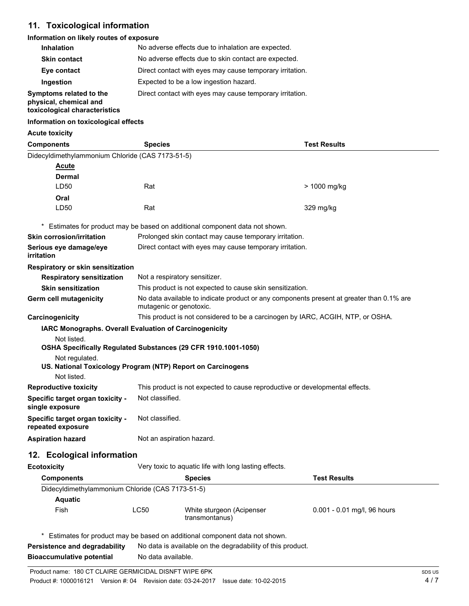# **11. Toxicological information**

#### **Information on likely routes of exposure**

| <b>Inhalation</b>                                                                  | No adverse effects due to inhalation are expected.       |
|------------------------------------------------------------------------------------|----------------------------------------------------------|
| <b>Skin contact</b>                                                                | No adverse effects due to skin contact are expected.     |
| Eye contact                                                                        | Direct contact with eyes may cause temporary irritation. |
| Ingestion                                                                          | Expected to be a low ingestion hazard.                   |
| Symptoms related to the<br>physical, chemical and<br>toxicological characteristics | Direct contact with eyes may cause temporary irritation. |

#### **Information on toxicological effects**

**Acute toxicity** 

| <b>Components</b>                                              | <b>Species</b>                                                                                                      |                                                                            | <b>Test Results</b>         |
|----------------------------------------------------------------|---------------------------------------------------------------------------------------------------------------------|----------------------------------------------------------------------------|-----------------------------|
| Didecyldimethylammonium Chloride (CAS 7173-51-5)               |                                                                                                                     |                                                                            |                             |
| <u>Acute</u>                                                   |                                                                                                                     |                                                                            |                             |
| Dermal                                                         |                                                                                                                     |                                                                            |                             |
| LD50                                                           | Rat                                                                                                                 |                                                                            | > 1000 mg/kg                |
| Oral                                                           |                                                                                                                     |                                                                            |                             |
| LD50                                                           | Rat                                                                                                                 |                                                                            | 329 mg/kg                   |
|                                                                |                                                                                                                     | Estimates for product may be based on additional component data not shown. |                             |
| <b>Skin corrosion/irritation</b>                               | Prolonged skin contact may cause temporary irritation.                                                              |                                                                            |                             |
| Serious eye damage/eye<br>irritation                           | Direct contact with eyes may cause temporary irritation.                                                            |                                                                            |                             |
| Respiratory or skin sensitization                              |                                                                                                                     |                                                                            |                             |
| <b>Respiratory sensitization</b>                               |                                                                                                                     | Not a respiratory sensitizer.                                              |                             |
| <b>Skin sensitization</b>                                      |                                                                                                                     | This product is not expected to cause skin sensitization.                  |                             |
| <b>Germ cell mutagenicity</b>                                  | No data available to indicate product or any components present at greater than 0.1% are<br>mutagenic or genotoxic. |                                                                            |                             |
| Carcinogenicity                                                | This product is not considered to be a carcinogen by IARC, ACGIH, NTP, or OSHA.                                     |                                                                            |                             |
| IARC Monographs. Overall Evaluation of Carcinogenicity         |                                                                                                                     |                                                                            |                             |
| Not listed.                                                    |                                                                                                                     |                                                                            |                             |
| OSHA Specifically Regulated Substances (29 CFR 1910.1001-1050) |                                                                                                                     |                                                                            |                             |
| Not regulated.                                                 |                                                                                                                     |                                                                            |                             |
| US. National Toxicology Program (NTP) Report on Carcinogens    |                                                                                                                     |                                                                            |                             |
| Not listed.<br><b>Reproductive toxicity</b>                    |                                                                                                                     |                                                                            |                             |
|                                                                | This product is not expected to cause reproductive or developmental effects.                                        |                                                                            |                             |
| Specific target organ toxicity -<br>single exposure            | Not classified.                                                                                                     |                                                                            |                             |
| Specific target organ toxicity -<br>repeated exposure          | Not classified.                                                                                                     |                                                                            |                             |
| <b>Aspiration hazard</b>                                       | Not an aspiration hazard.                                                                                           |                                                                            |                             |
| 12. Ecological information                                     |                                                                                                                     |                                                                            |                             |
| <b>Ecotoxicity</b>                                             |                                                                                                                     | Very toxic to aquatic life with long lasting effects.                      |                             |
| <b>Components</b>                                              |                                                                                                                     | <b>Species</b>                                                             | <b>Test Results</b>         |
| Didecyldimethylammonium Chloride (CAS 7173-51-5)               |                                                                                                                     |                                                                            |                             |
| <b>Aquatic</b>                                                 |                                                                                                                     |                                                                            |                             |
| Fish                                                           | LC50                                                                                                                | White sturgeon (Acipenser<br>transmontanus)                                | 0.001 - 0.01 mg/l, 96 hours |
|                                                                |                                                                                                                     | Estimates for product may be based on additional component data not shown. |                             |
| Persistence and degradability                                  |                                                                                                                     | No data is available on the degradability of this product.                 |                             |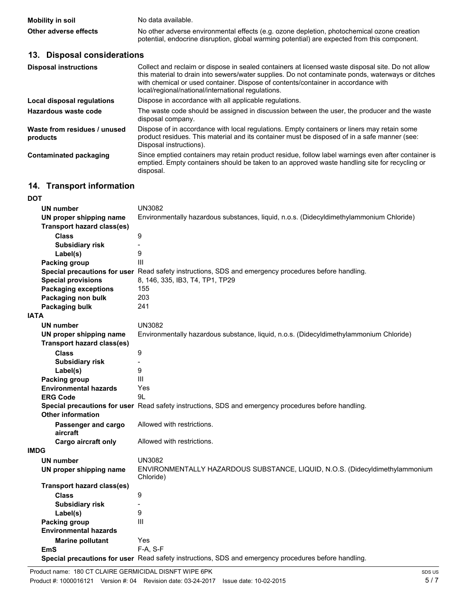| <b>Mobility in soil</b> | No data available.                                                                           |
|-------------------------|----------------------------------------------------------------------------------------------|
| Other adverse effects   | No other adverse environmental effects (e.g. ozone depletion, photochemical ozone creation   |
|                         | potential, endocrine disruption, global warming potential) are expected from this component. |

## **13. Disposal considerations**

| <b>Disposal instructions</b>             | Collect and reclaim or dispose in sealed containers at licensed waste disposal site. Do not allow<br>this material to drain into sewers/water supplies. Do not contaminate ponds, waterways or ditches<br>with chemical or used container. Dispose of contents/container in accordance with<br>local/regional/national/international regulations. |
|------------------------------------------|---------------------------------------------------------------------------------------------------------------------------------------------------------------------------------------------------------------------------------------------------------------------------------------------------------------------------------------------------|
| Local disposal regulations               | Dispose in accordance with all applicable regulations.                                                                                                                                                                                                                                                                                            |
| Hazardous waste code                     | The waste code should be assigned in discussion between the user, the producer and the waste<br>disposal company.                                                                                                                                                                                                                                 |
| Waste from residues / unused<br>products | Dispose of in accordance with local regulations. Empty containers or liners may retain some<br>product residues. This material and its container must be disposed of in a safe manner (see:<br>Disposal instructions).                                                                                                                            |
| Contaminated packaging                   | Since emptied containers may retain product residue, follow label warnings even after container is<br>emptied. Empty containers should be taken to an approved waste handling site for recycling or<br>disposal.                                                                                                                                  |

# **14. Transport information**

| <b>DOT</b>                        |                                                                                                      |
|-----------------------------------|------------------------------------------------------------------------------------------------------|
| <b>UN number</b>                  | <b>UN3082</b>                                                                                        |
| UN proper shipping name           | Environmentally hazardous substances, liquid, n.o.s. (Didecyldimethylammonium Chloride)              |
| <b>Transport hazard class(es)</b> |                                                                                                      |
| <b>Class</b>                      | 9                                                                                                    |
| <b>Subsidiary risk</b>            |                                                                                                      |
| Label(s)                          | 9                                                                                                    |
| Packing group                     | Ш                                                                                                    |
|                                   | Special precautions for user Read safety instructions, SDS and emergency procedures before handling. |
| <b>Special provisions</b>         | 8, 146, 335, IB3, T4, TP1, TP29                                                                      |
| <b>Packaging exceptions</b>       | 155                                                                                                  |
| Packaging non bulk                | 203                                                                                                  |
| Packaging bulk                    | 241                                                                                                  |
| <b>IATA</b>                       |                                                                                                      |
| <b>UN number</b>                  | <b>UN3082</b>                                                                                        |
| UN proper shipping name           | Environmentally hazardous substance, liquid, n.o.s. (Didecyldimethylammonium Chloride)               |
| <b>Transport hazard class(es)</b> |                                                                                                      |
| <b>Class</b>                      | 9                                                                                                    |
| <b>Subsidiary risk</b>            |                                                                                                      |
| Label(s)                          | 9                                                                                                    |
| <b>Packing group</b>              | Ш                                                                                                    |
| <b>Environmental hazards</b>      | Yes                                                                                                  |
| <b>ERG Code</b>                   | 9L                                                                                                   |
|                                   | Special precautions for user Read safety instructions, SDS and emergency procedures before handling. |
| <b>Other information</b>          |                                                                                                      |
| Passenger and cargo               | Allowed with restrictions.                                                                           |
| aircraft                          |                                                                                                      |
| <b>Cargo aircraft only</b>        | Allowed with restrictions.                                                                           |
| <b>IMDG</b>                       |                                                                                                      |
| <b>UN number</b>                  | <b>UN3082</b>                                                                                        |
| UN proper shipping name           | ENVIRONMENTALLY HAZARDOUS SUBSTANCE, LIQUID, N.O.S. (Didecyldimethylammonium<br>Chloride)            |
| Transport hazard class(es)        |                                                                                                      |
| <b>Class</b>                      | 9                                                                                                    |
| <b>Subsidiary risk</b>            |                                                                                                      |
| Label(s)                          | 9                                                                                                    |
| Packing group                     | III                                                                                                  |
| <b>Environmental hazards</b>      |                                                                                                      |
| <b>Marine pollutant</b>           | Yes                                                                                                  |
| <b>EmS</b>                        | F-A, S-F                                                                                             |
|                                   | Special precautions for user Read safety instructions, SDS and emergency procedures before handling. |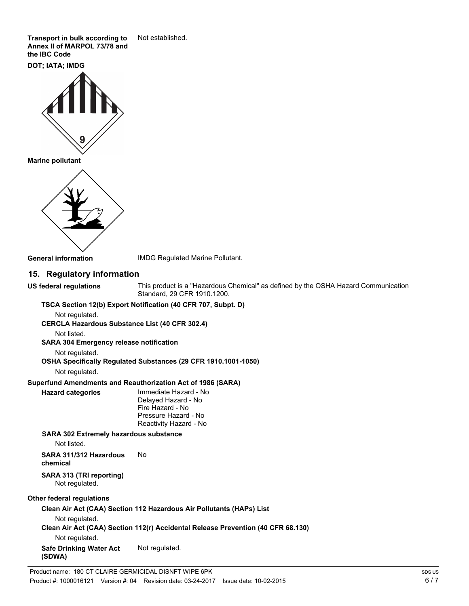**Transport in bulk according to** Not established. **Annex II of MARPOL 73/78 and the IBC Code** 

**DOT; IATA; IMDG** 



**Marine pollutant** 



**General information** IMDG Regulated Marine Pollutant.

## **15. Regulatory information**

**US federal regulations** This product is a "Hazardous Chemical" as defined by the OSHA Hazard Communication Standard, 29 CFR 1910.1200.

#### **TSCA Section 12(b) Export Notification (40 CFR 707, Subpt. D)**

Not regulated.

**CERCLA Hazardous Substance List (40 CFR 302.4)** 

Not listed.

**SARA 304 Emergency release notification** 

Not regulated.

#### **OSHA Specifically Regulated Substances (29 CFR 1910.1001-1050)**

Not regulated.

#### **Superfund Amendments and Reauthorization Act of 1986 (SARA)**

**Hazard categories** Immediate Hazard - No Delayed Hazard - No Fire Hazard - No Pressure Hazard - No Reactivity Hazard - No

#### **SARA 302 Extremely hazardous substance**  Not listed.

**SARA 311/312 Hazardous** No **chemical** 

# **SARA 313 (TRI reporting)**

Not regulated.

## **Other federal regulations**

### **Clean Air Act (CAA) Section 112 Hazardous Air Pollutants (HAPs) List**  Not regulated. **Clean Air Act (CAA) Section 112(r) Accidental Release Prevention (40 CFR 68.130)**  Not regulated. Safe Drinking Water Act Not regulated. **(SDWA)**